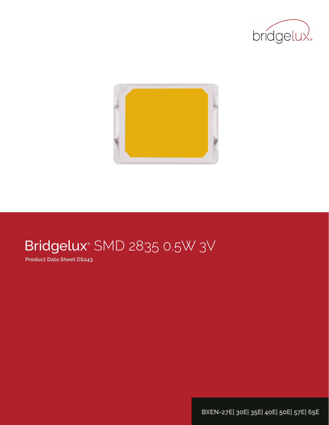



# Bridgelux® SMD 2835 0.5W 3V

**Product Data Sheet DS243**

**BXEN-27E| 30E| 35E| 40E| 50E| 57E| 65E**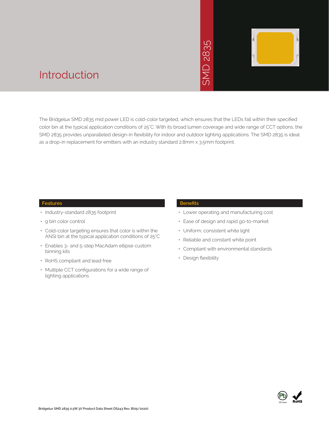# 2835  $\overline{\bigcap}$ **INS**



### Introduction

The Bridgelux SMD 2835 mid power LED is cold-color targeted, which ensures that the LEDs fall within their specified color bin at the typical application conditions of 25°C. With its broad lumen coverage and wide range of CCT options, the SMD 2835 provides unparalleled design-in flexibility for indoor and outdoor lighting applications. The SMD 2835 is ideal as a drop-in replacement for emitters with an industry standard 2.8mm x 3.5mm footprint. • Market The Sammer School Control Control Control Control Control Control Control Control Control Control Control Control Control Control Control Control Control Control Control Control Control Control Control Control Con

#### **Features**

- Industry-standard 2835 footprint
- 9 bin color control
- Cold-color targeting ensures that color is within the ANSI bin at the typical application conditions of 25°C
- Enables 3- and 5-step MacAdam ellipse custom binning kits
- RoHS compliant and lead free
- Multiple CCT configurations for a wide range of lighting applications

#### **Benefits**

- Lower operating and manufacturing cost
- Ease of design and rapid go-to-market
- Uniform, consistent white light
- Reliable and constant white point
- Compliant with environmental standards
- · Design flexibility

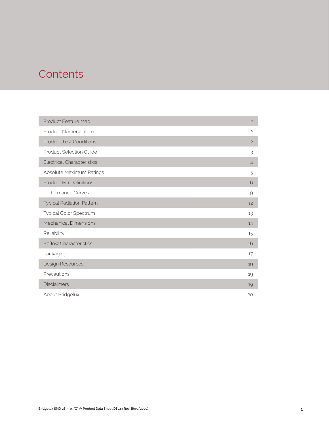### **Contents**

| Product Feature Map               | $\overline{c}$ |
|-----------------------------------|----------------|
| Product Nomenclature              | $\overline{c}$ |
| <b>Product Test Conditions</b>    | $\overline{c}$ |
| <b>Product Selection Guide</b>    | 3              |
| <b>Electrical Characteristics</b> | $\overline{4}$ |
| Absolute Maximum Ratings          | 5              |
| <b>Product Bin Definitions</b>    | 6              |
| Performance Curves                | 9              |
| <b>Typical Radiation Pattern</b>  | 12             |
| Typical Color Spectrum            | 13             |
| <b>Mechanical Dimensions</b>      | 14             |
| Reliability                       | 15             |
| <b>Reflow Characteristics</b>     | 16             |
| Packaging                         | 17             |
| Design Resources                  | 19             |
| Precautions                       | 19             |
| <b>Disclaimers</b>                | 19             |
| About Bridgelux                   | 20             |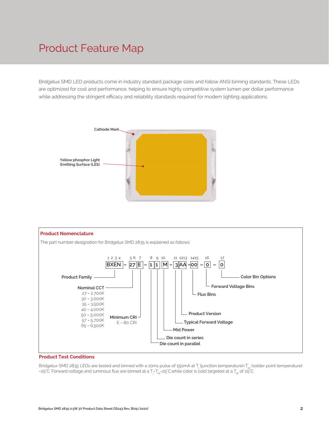### Product Feature Map

Bridgelux SMD LED products come in industry standard package sizes and follow ANSI binning standards. These LEDs are optimized for cost and performance, helping to ensure highly competitive system lumen per dollar performance while addressing the stringent efficacy and reliability standards required for modern lighting applications.





#### **Product Test Conditions**

Bridgelux SMD 2835 LEDs are tested and binned with a 10ms pulse of 150mA at T<sub>j</sub> (junction temperature)=T<sub>sp</sub> (solder point temperature) =25°C. Forward voltage and luminous flux are binned at a T<sub>j</sub>-T<sub>sp</sub>=25°C.while color is cold targeted at a T<sub>sp</sub> of 25°C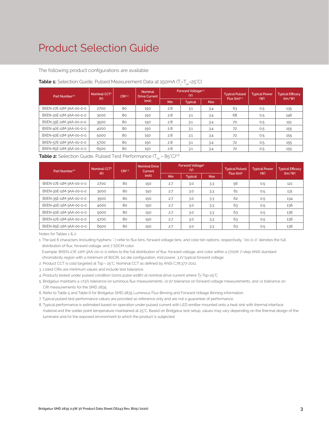### Product Selection Guide

The following product configurations are available:

| Part Number <sup>1,6</sup> | Nominal CCT <sup>2</sup> | CRI3-5 | <b>Nominal</b><br><b>Drive Current</b> |     | Forward Voltage <sup>4.5</sup><br>(V) |            | <b>Typical Pulsed</b> | <b>Typical Power</b> | <b>Typical Efficacy</b><br>(lm/W) |
|----------------------------|--------------------------|--------|----------------------------------------|-----|---------------------------------------|------------|-----------------------|----------------------|-----------------------------------|
|                            | (K)                      |        | (mA)                                   |     | <b>Typical</b>                        | <b>Max</b> | Flux $(lm)^{4.5}$     | (W)                  |                                   |
| BXEN-27E-11M-3AA-00-0-0    | 2700                     | 80     | 150                                    | 2.8 | 3.1                                   | 3.4        | 63                    | 0.5                  | 135                               |
| BXEN-30E-11M-3AA-00-0-0    | 3000                     | 80     | 150                                    | 2.8 | 3.1                                   | 3.4        | 68                    | 0.5                  | 146                               |
| BXEN-35E-11M-3AA-00-0-0    | 3500                     | 80     | 150                                    | 2.8 | 3.1                                   | 3.4        | 70                    | 0.5                  | 151                               |
| BXEN-40E-11M-3AA-00-0-0    | 4000                     | 80     | 150                                    | 2.8 | 3.1                                   | 3.4        | 72                    | 0.5                  | 155                               |
| BXEN-50E-11M-3AA-00-0-0    | 5000                     | 80     | 150                                    | 2.8 | 3.1                                   | 3.4        | 72                    | 0.5                  | 155                               |
| BXEN-57E-11M-3AA-00-0-0    | 5700                     | 80     | 150                                    | 2.8 | 3.1                                   | 3.4        | 72                    | 0.5                  | 155                               |
| BXEN-65E-11M-3AA-00-0-0    | 6500                     | 80     | 150                                    | 2.8 | 3.1                                   | 3.4        | 72                    | 0.5                  | 155                               |

#### **Table 1:** Selection Guide, Pulsed Measurement Data at 150mA (T<sub>j</sub>=T<sub>sp</sub>=25°C)

**Table 2:** Selection Guide, Pulsed Test Performance  $(T_{\rm so} = 85^{\circ}C)^{7.8}$ 

| Part Number <sup>1,6</sup> | Nominal CCT <sup>2</sup><br>(K) | CRI3.5 | <b>Nominal Drive</b><br>Current |            | Forward Voltage <sup>5</sup><br>(V) |     | <b>Typical Pulsed</b><br>Flux (lm) <sup>5</sup> | <b>Typical Power</b><br>(W) | <b>Typical Efficacy</b><br>(lm/W) |
|----------------------------|---------------------------------|--------|---------------------------------|------------|-------------------------------------|-----|-------------------------------------------------|-----------------------------|-----------------------------------|
|                            |                                 |        | (mA)                            | <b>Min</b> | <b>Typical</b>                      | Max |                                                 |                             |                                   |
| BXEN-27E-11M-3AA-00-0-0    | 2700                            | 80     | 150                             | 2.7        | 3.0                                 | 3.3 | 56                                              | 0.5                         | 121                               |
| BXEN-30E-11M-3AA-00-0-0    | 3000                            | 80     | 150                             | 2.7        | 3.0                                 | 3.3 | 61                                              | 0.5                         | 131                               |
| BXEN-35E-11M-3AA-00-0-0    | 3500                            | 80     | 150                             | 2.7        | 3.0                                 | 3.3 | 62                                              | 0.5                         | 134                               |
| BXEN-40E-11M-3AA-00-0-0    | 4000                            | 80     | 150                             | 2.7        | 3.0                                 | 3.3 | 63                                              | 0.5                         | 136                               |
| BXEN-50E-11M-3AA-00-0-0    | 5000                            | 80     | 150                             | 2.7        | 3.0                                 | 3.3 | 63                                              | 0.5                         | 136                               |
| BXEN-57E-11M-3AA-00-0-0    | 5700                            | 80     | 150                             | 2.7        | 3.0                                 | 3.3 | 63                                              | 0.5                         | 136                               |
| BXEN-65E-11M-3AA-00-0-0    | 6500                            | 80     | 150                             | 2.7        | 3.0                                 | 3.3 | 63                                              | 0.5                         | 136                               |

Notes for Tables 1 & 2:

1. The last 6 characters (including hyphens '-') refer to flux bins, forward voltage bins, and color bin options, respectively. "00-0-0" denotes the full distribution of flux, forward voltage, and 7 SDCM color.

 Example: BXEN-27E-11M-3AA-00-0-0 refers to the full distribution of flux, forward voltage, and color within a 2700K 7-step ANSI standard chromaticity region with a minimum of 80CRI, 1x1 die configuration, mid power, 3.1V typical forward voltage.

2. Product CCT is cold targeted at Tsp = 25°C. Nominal CCT as defined by ANSI C78.377-2011.

3. Listed CRIs are minimum values and include test tolerance.

4. Products tested under pulsed condition (10ms pulse width) at nominal drive current where Tj-Tsp=25°C.

5. Bridgelux maintains a ±7.5% tolerance on luminous flux measurements, ±0.1V tolerance on forward voltage measurements, and ±2 tolerance on CRI measurements for the SMD 2835.

6. Refer to Table 5 and Table 6 for Bridgelux SMD 2835 Luminous Flux Binning and Forward Voltage Binning information.

7. Typical pulsed test performance values are provided as reference only and are not a guarantee of performance.

8. Typical performance is estimated based on operation under pulsed current with LED emitter mounted onto a heat sink with thermal interface material and the solder point temperature maintained at 25°C. Based on Bridgelux test setup, values may vary depending on the thermal design of the luminaire and/or the exposed environment to which the product is subjected.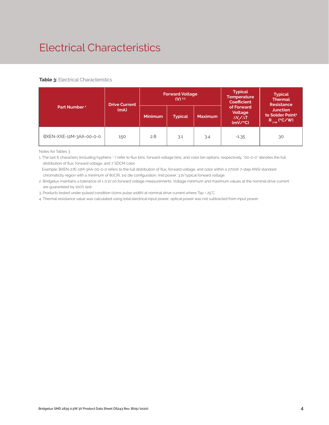# Electrical Characteristics

#### **Table 3: Electrical Characteristics**

|                          | <b>Drive Current</b> |                                  | <b>Forward Voltage</b><br>$(V)$ <sup>2,3</sup> |                | <b>Typical</b><br><b>Temperature</b><br><b>Coefficient</b>  | <b>Typical</b><br><b>Thermal</b><br><b>Resistance</b>                      |
|--------------------------|----------------------|----------------------------------|------------------------------------------------|----------------|-------------------------------------------------------------|----------------------------------------------------------------------------|
| Part Number <sup>1</sup> | (mA)                 | <b>Minimum</b><br><b>Typical</b> |                                                | <b>Maximum</b> | of Forward<br>Voltage<br>$\Delta V \sim \Delta T$<br>(mV/C) | <b>Junction</b><br>to Solder Point <sup>4</sup><br>$R_{\text{isp}}$ (°C/W) |
| BXEN-XXE-11M-3AA-00-0-0  | 150                  | 2.8                              | 3.1                                            | 3.4            | $-1.35$                                                     | 30                                                                         |

Notes for Tables 3:

1. The last 6 characters (including hyphens '-') refer to flux bins, forward voltage bins, and color bin options, respectively. "00-0-0" denotes the full distribution of flux, forward voltage, and 7 SDCM color.

 Example: BXEN-27E-11M-3AA-00-0-0 refers to the full distribution of flux, forward voltage, and color within a 2700K 7-step ANSI standard chromaticity region with a minimum of 80CRI, 1x1 die configuration, mid power, 3.1V typical forward voltage.

2. Bridgelux maintains a tolerance of ± 0.1V on forward voltage measurements. Voltage minimum and maximum values at the nominal drive current are guaranteed by 100% test.

3. Products tested under pulsed condition (10ms pulse width) at nominal drive current where Tsp = 25°C.

4. Thermal resistance value was calculated using total electrical input power; optical power was not subtracted from input power.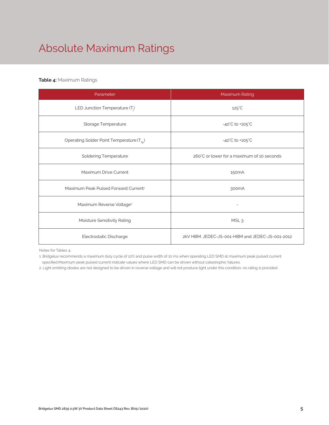# Absolute Maximum Ratings

#### **Table 4:** Maximum Ratings

| Parameter                                             | Maximum Rating                                  |  |  |  |
|-------------------------------------------------------|-------------------------------------------------|--|--|--|
| LED Junction Temperature (T <sub>i</sub> )            | $125^{\circ}$ C                                 |  |  |  |
| Storage Temperature                                   | $-40^{\circ}$ C to $+105^{\circ}$ C             |  |  |  |
| Operating Solder Point Temperature (T <sub>SD</sub> ) | $-40^{\circ}$ C to $+105^{\circ}$ C             |  |  |  |
| <b>Soldering Temperature</b>                          | 260°C or lower for a maximum of 10 seconds      |  |  |  |
| Maximum Drive Current                                 | 150 <sub>m</sub> A                              |  |  |  |
| Maximum Peak Pulsed Forward Current <sup>1</sup>      | 300 <sub>m</sub> A                              |  |  |  |
| Maximum Reverse Voltage <sup>2</sup>                  |                                                 |  |  |  |
| Moisture Sensitivity Rating                           | MSL <sub>3</sub>                                |  |  |  |
| Electrostatic Discharge                               | 2kV HBM, JEDEC-JS-001-HBM and JEDEC-JS-001-2012 |  |  |  |

Notes for Tables 4:

1. Bridgelux recommends a maximum duty cycle of 10% and pulse width of 10 ms when operating LED SMD at maximum peak pulsed current specified.Maximum peak pulsed current indicate values where LED SMD can be driven without catastrophic failures.

2. Light emitting diodes are not designed to be driven in reverse voltage and will not produce light under this condition. no rating is provided.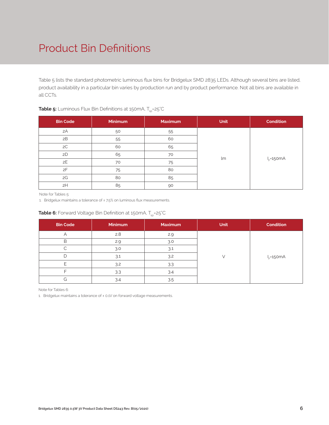# Product Bin Definitions

Table 5 lists the standard photometric luminous flux bins for Bridgelux SMD 2835 LEDs. Although several bins are listed, product availability in a particular bin varies by production run and by product performance. Not all bins are available in all CCTs.

| <b>Bin Code</b> | <b>Minimum</b> | <b>Maximum</b> | <b>Unit</b> | <b>Condition</b> |
|-----------------|----------------|----------------|-------------|------------------|
| 2A              | 50             | 55             |             |                  |
| 2B              | 55             | 60             |             |                  |
| 2C              | 60             | 65             |             |                  |
| 2D              | 65             | 70             | lm          |                  |
| 2E              | 70             | 75             |             | $I_F = 150mA$    |
| 2F              | 75             | 80             |             |                  |
| 2G              | 80             | 85             |             |                  |
| 2H              | 85             | 90             |             |                  |

#### **Table 5:** Luminous Flux Bin Definitions at 150mA, T<sub>sp</sub>=25°C

Note for Tables 5:

1. Bridgelux maintains a tolerance of  $\pm$  7.5% on luminous flux measurements.

#### **Table 6:** Forward Voltage Bin Definition at 150mA, T<sub>sp</sub>=25°C

| <b>Bin Code</b> | <b>Minimum</b> | <b>Maximum</b> | <b>Unit</b> | <b>Condition</b> |
|-----------------|----------------|----------------|-------------|------------------|
|                 | 2.8            | 2.9            |             |                  |
| B               | 2.9            | 3.0            |             |                  |
|                 | 3.0            | 3.1            |             |                  |
| D               | 3.1            | 3.2            |             | $IF=150mA$       |
|                 | 3.2            | 3.3            |             |                  |
|                 | 3.3            | 3.4            |             |                  |
| G               | 3.4            | 3.5            |             |                  |

Note for Tables 6:

1. Bridgelux maintains a tolerance of ± 0.1V on forward voltage measurements.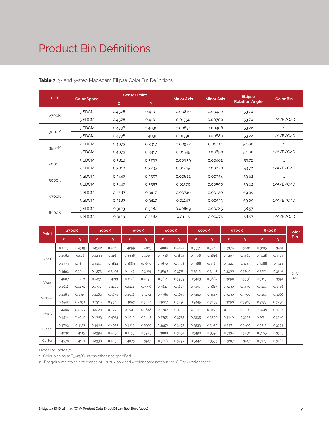### Product Bin Definitions

| <b>CCT</b> |                    |              | <b>Center Point</b> |                   |                   | <b>Ellipse</b>        |                  |
|------------|--------------------|--------------|---------------------|-------------------|-------------------|-----------------------|------------------|
|            | <b>Color Space</b> | $\mathsf{x}$ | Y                   | <b>Major Axis</b> | <b>Minor Axis</b> | <b>Rotation Angle</b> | <b>Color Bin</b> |
|            | 3 SDCM             | 0.4578       | 0.4101              | 0.00810           | 0.00420           | 53.70                 | $\mathbf{1}$     |
| 2700K      | 5 SDCM             | 0.4578       | 0.4101              | 0.01350           | 0.00700           | 53.70                 | 1/A/B/C/D        |
|            | 3 SDCM             | 0.4338       | 0.4030              | 0.00834           | 0.00408           | 53.22                 | $\mathbf{1}$     |
| 3000K      | 5 SDCM             | 0.4338       | 0.4030              | 0.01390           | 0.00680           | 53.22                 | 1/A/B/C/D        |
|            | 3 SDCM             | 0.4073       | 0.3917              | 0.00927           | 0.00414           | 54.00                 | $\mathbf{1}$     |
| 3500K      | 5 SDCM             | 0.4073       | 0.3917              | 0.01545           | 0.00690           | 54.00                 | 1/A/B/C/D        |
|            | 3 SDCM             | 0.3818       | 0.3797              | 0.00939           | 0.00402           | 53.72                 | $\mathbf{1}$     |
| 4000K      | 5 SDCM             | 0.3818       | 0.3797              | 0.01565           | 0.00670           | 53.72                 | 1/A/B/C/D        |
|            | 3 SDCM             | 0.3447       | 0.3553              | 0.00822           | 0.00354           | 59.62                 | $\mathbf{1}$     |
| 5000K      | 5 SDCM             | 0.3447       | 0.3553              | 0.01370           | 0.00590           | 59.62                 | 1/A/B/C/D        |
|            | 3 SDCM             | 0.3287       | 0.3417              | 0.00746           | 0.00320           | 59.09                 | 1                |
| 5700K      | 5 SDCM             | 0.3287       | 0.3417              | 0.01243           | 0.00533           | 59.09                 | 1/A/B/C/D        |
|            | 3 SDCM             | 0.3123       | 0.3282              | 0.00669           | 0.00285           | 58.57                 | 1                |
| 6500K      | 5 SDCM             | 0.3123       | 0.3282              | 0.01115           | 0.00475           | 58.57                 | 1/A/B/C/D        |

**Table 7:** 3- and 5-step MacAdam Ellipse Color Bin Definitions

| <b>Point</b> |        | <b>2700K</b> |        | 3000K  |        | 3500K  |        | 4000K  |        | 5000K  |        | 5700K  |        | 6500K  | Color      |
|--------------|--------|--------------|--------|--------|--------|--------|--------|--------|--------|--------|--------|--------|--------|--------|------------|
|              | x      | v            | x      | ۷      | x      | v      | x      | v      | x      | ۷      | x      | v      | x      | У      | <b>Bin</b> |
|              | 0.4813 | 0.4319       | 0.4562 | 0.4260 | 0.4299 | 0.4165 | 0.4006 | 0.4044 | 0.3551 | 0.3760 | 0.3376 | 0.3616 | 0.3205 | 0.3481 |            |
| <b>ANSI</b>  | 0.4562 | 0.426        | 0.4299 | 0.4165 | 0.3996 | 0.4015 | 0.3736 | 0.3874 | 0.3376 | 0.3616 | 0.3207 | 0.3462 | 0.3028 | 0.3304 |            |
|              | 0.4373 | 0.3893       | 0.4147 | 0.3814 | 0.3889 | 0.3690 | 0.3670 | 0.3578 | 0.3366 | 0.3369 | 0.3222 | 0.3243 | 0.3068 | 0.3113 |            |
|              | 0.4593 | 0.3944       | 0.4373 | 0.3893 | 0.4147 | 0.3814 | 0.3898 | 0.3716 | 0.3515 | 0.3487 | 0.3366 | 0.3369 | 0.3221 | 0.3261 | E/F/       |
|              | 0.4687 | 0.4289       | 0.4431 | 0.4213 | 0.4148 | 0.4090 | 0.3871 | 0.3959 | 0.3463 | 0.3687 | 0.3290 | 0.3538 | 0.3115 | 0.3391 | G/H        |
| $V$ -up      | 0.4618 | 0.4170       | 0.4377 | 0.4101 | 0.4112 | 0.3996 | 0.3847 | 0.3873 | 0.3457 | 0.3617 | 0.3290 | 0.3470 | 0.3124 | 0.3328 |            |
|              | 0.4483 | 0.3919       | 0.4260 | 0.3854 | 0.4018 | 0.3752 | 0.3784 | 0.3647 | 0.3440 | 0.3427 | 0.3290 | 0.3300 | 0.3144 | 0.3186 |            |
| V-down       | 0.4542 | 0.4031       | 0.4310 | 0.3960 | 0.4053 | 0.3844 | 0.3807 | 0.3730 | 0.3445 | 0.3495 | 0.3290 | 0.3369 | 0.3135 | 0.3250 |            |
|              | 0.4468 | 0.4077       | 0.4223 | 0.3990 | 0.3941 | 0.3848 | 0.3702 | 0.3722 | 0.3371 | 0.3490 | 0.3215 | 0.3350 | 0.3048 | 0.3207 |            |
| H-left       | 0.4524 | 0.4089       | 0.4283 | 0.4013 | 0.4012 | 0.3885 | 0.3755 | 0.3755 | 0.3395 | 0.3509 | 0.3240 | 0.3372 | 0.3081 | 0.3240 |            |
|              | 0.4703 | 0.4132       | 0.4468 | 0.4077 | 0.4223 | 0.3990 | 0.3950 | 0.3875 | 0.3533 | 0.3620 | 0.3371 | 0.3490 | 0.3213 | 0.3373 |            |
| H-right      | 0.4632 | 0.4115       | 0.4394 | 0.4052 | 0.4133 | 0.3945 | 0.3880 | 0.3834 | 0.3498 | 0.3592 | 0.3334 | 0.3456 | 0.3165 | 0.3325 |            |
| Center       | 0.4578 | 0.4101       | 0.4338 | 0.4030 | 0.4073 | 0.3917 | 0.3818 | 0.3797 | 0.3447 | 0.3553 | 0.3287 | 0.3417 | 0.3123 | 0.3282 |            |

Notes for Tables 7:

1. Color binning at  $T_{sp}$ =25°C unless otherwise specified

2. Bridgelux maintains a tolerance of ± 0.007 on x and y color coordinates in the CIE 1931 color space.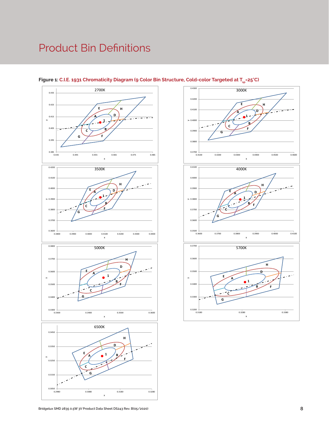# Product Bin Definitions



#### Figure 1: C.I.E. 1931 Chromaticity Diagram (9 Color Bin Structure, Cold-color Targeted at T<sub>sp</sub>=25°C)

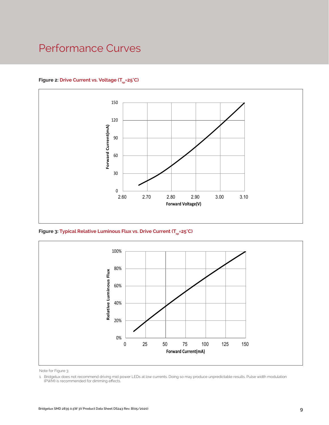### Performance Curves

#### Figure 2: Drive Current vs. Voltage (T<sub>cn</sub>=25°C)



Figure 3: Typical Relative Luminous Flux vs. Drive Current (T<sub>sp</sub>=25°C)



Note for Figure 3:

<sup>1.</sup> Bridgelux does not recommend driving mid power LEDs at low currents. Doing so may produce unpredictable results. Pulse width modulation (PWM) is recommended for dimming effects.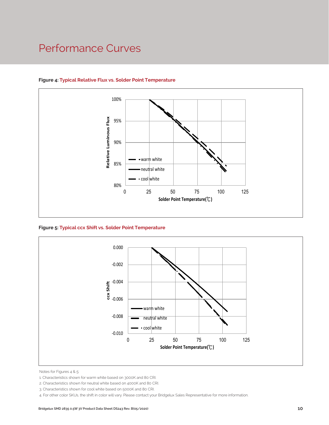### Performance Curves



#### **Figure 4: Typical Relative Flux vs. Solder Point Temperature**

**Figure 5: Typical ccx Shift vs. Solder Point Temperature**



Notes for Figures 4 & 5:

<sup>1.</sup> Characteristics shown for warm white based on 3000K and 80 CRI.

<sup>2.</sup> Characteristics shown for neutral white based on 4000K and 80 CRI.

<sup>3.</sup> Characteristics shown for cool white based on 5000K and 80 CRI.

<sup>4.</sup> For other color SKUs, the shift in color will vary. Please contact your Bridgelux Sales Representative for more information.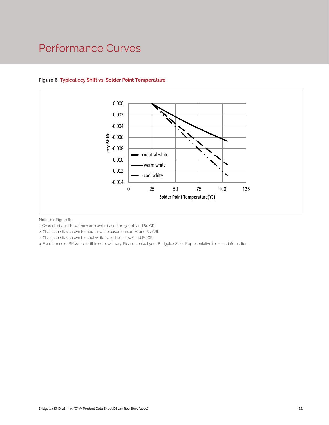### Performance Curves



#### **Figure 6: Typical ccy Shift vs. Solder Point Temperature**

Notes for Figure 6:

1. Characteristics shown for warm white based on 3000K and 80 CRI.

2. Characteristics shown for neutral white based on 4000K and 80 CRI.

3. Characteristics shown for cool white based on 5000K and 80 CRI.

4. For other color SKUs, the shift in color will vary. Please contact your Bridgelux Sales Representative for more information.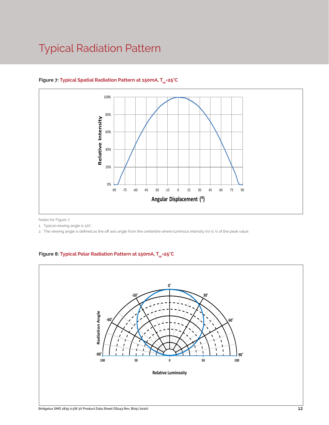### Typical Radiation Pattern



#### Figure 7: Typical Spatial Radiation Pattern at 150mA, T<sub>sp</sub>=25°C

Notes for Figure 7:

1. Typical viewing angle is 120°. .

2. The viewing angle is defined as the off axis angle from the centerline where luminous intensity (Iv) is ½ of the peak value.

#### Figure 8: Typical Polar Radiation Pattern at 150mA, T<sub>sp</sub>=25°C

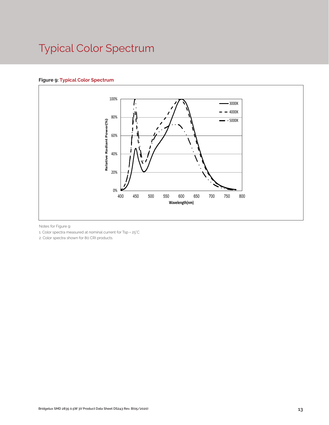# Typical Color Spectrum

#### **Figure 9: Typical Color Spectrum**



Notes for Figure 9:

1. Color spectra measured at nominal current for Tsp = 25°C

2. Color spectra shown for 80 CRI products.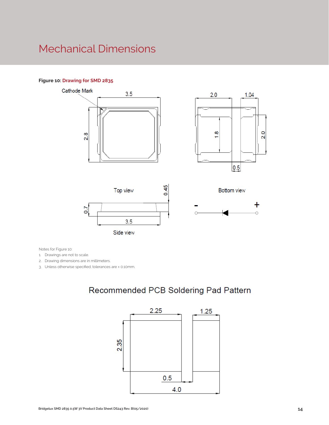### Mechanical Dimensions

#### **Figure 10: Drawing for SMD 2835**









**Bottom view** 

Notes for Figure 10:

1. Drawings are not to scale.

2. Drawing dimensions are in millimeters.

3. Unless otherwise specified, tolerances are ± 0.10mm.

### Recommended PCB Soldering Pad Pattern

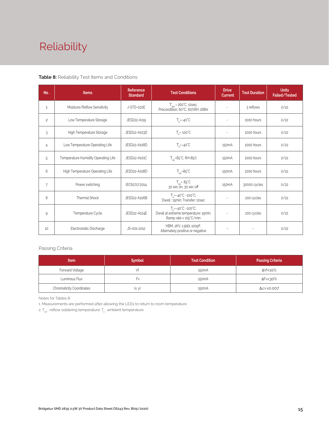# Reliability

#### **Table 8:** Reliability Test Items and Conditions

| No.            | <b>Items</b>                        | <b>Reference</b><br><b>Standard</b> | <b>Test Conditions</b>                                                                                 | <b>Drive</b><br><b>Current</b> | <b>Test Duration</b> | <b>Units</b><br>Failed/Tested |
|----------------|-------------------------------------|-------------------------------------|--------------------------------------------------------------------------------------------------------|--------------------------------|----------------------|-------------------------------|
| 1              | Moisture/Reflow Sensitivity         | J-STD-020E                          | $T_{\text{cld}}$ = 260°C, 10sec,<br>Precondition: 60°C, 60%RH, 168hr                                   | $\sim$                         | 3 reflows            | 0/22                          |
| $\overline{c}$ | Low Temperature Storage             | JESD22-A119                         | $T_a = -40^{\circ}C$                                                                                   | $\bar{a}$                      | 1000 hours           | 0/22                          |
| 3              | High Temperature Storage            | JESD22-A103D                        | $T_a = 100^{\circ}$ C                                                                                  | $\sim$                         | 1000 hours           | 0/22                          |
| 4              | Low Temperature Operating Life      | JESD22-A108D                        | $T_s = -40^{\circ}C$                                                                                   | 150 <sub>m</sub> A             | 1000 hours           | 0/22                          |
| 5              | Temperature Humidity Operating Life | JESD22-A101C                        | $T_{SD} = 85^{\circ}$ C, RH=85%                                                                        | 150 <sub>m</sub> A             | 1000 hours           | 0/22                          |
| 6              | High Temperature Operating Life     | JESD22-A108D                        | $T_{sn} = 85^{\circ}C$                                                                                 | 150 <sub>m</sub> A             | 1000 hours           | 0/22                          |
| $\overline{7}$ | Power switching                     | IEC62717:2014                       | $T_{\rm SD} = 85^{\circ}C$<br>30 sec on, 30 sec off                                                    | 150 <sub>m</sub> A             | 30000 cycles         | 0/22                          |
| 8              | <b>Thermal Shock</b>                | JESD22-A106B                        | $T_a = -40^{\circ}C - 100^{\circ}C$ ;<br>Dwell: 15min; Transfer: 10sec                                 | $\sim$                         | 200 cycles           | 0/22                          |
| 9              | Temperature Cycle                   | JESD22-A104E                        | $T_a = -40^{\circ}C - 100^{\circ}C$ ;<br>Dwell at extreme temperature: 15min;<br>Ramp rate < 105°C/min |                                | 200 cycles           | 0/22                          |
| 10             | Electrostatic Discharge             | JS-001-2012                         | HBM, $2KV$ , $1.5k\Omega$ , 100pF,<br>Alternately positive or negative                                 | $\overline{\phantom{a}}$       |                      | 0/22                          |

#### Passing Criteria

| <b>Item</b>                     | <b>Symbol</b> | <b>Test Condition</b> | <b>Passing Criteria</b> |
|---------------------------------|---------------|-----------------------|-------------------------|
| Forward Voltage                 |               | 150 <sub>m</sub> A    | ΔVf<10%                 |
| Luminous Flux                   | ۲v            | 150 <sub>m</sub> A    | ΔFν<30%                 |
| <b>Chromaticity Coordinates</b> | (x, y)        | 150 <sub>m</sub> A    | Δu'v'<0.007             |

Notes for Tables 8:

1. Measurements are performed after allowing the LEDs to return to room temperature

2.  $\mathsf{T}_{_{\mathsf{std}}}$  : reflow soldering temperature;  $\mathsf{T}_{_{\!\mathsf{a}}}$  : ambient temperature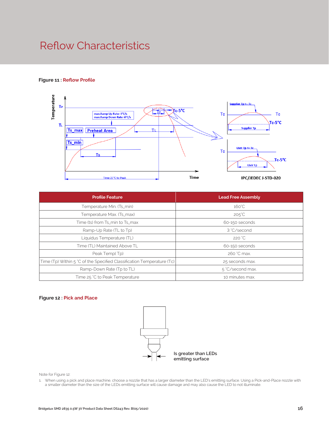### Reflow Characteristics

#### **Figure 11 : Reflow Profile**



| <b>Profile Feature</b>                                                 | <b>Lead Free Assembly</b> |
|------------------------------------------------------------------------|---------------------------|
| Temperature Min. (Ts_min)                                              | $160^{\circ}$ C           |
| Temperature Max. (Ts_max)                                              | $205^{\circ}$ C           |
| Time (ts) from Ts_min to Ts_max                                        | 60-150 seconds            |
| Ramp-Up Rate (TL to Tp)                                                | 3 °C/second               |
| Liquidus Temperature (TL)                                              | 220 °C                    |
| Time (TL) Maintained Above TL                                          | 60-150 seconds            |
| Peak Temp(Tp)                                                          | 260 °C max.               |
| Time (Tp) Within 5 °C of the Specified Classification Temperature (Tc) | 25 seconds max.           |
| Ramp-Down Rate (Tp to TL)                                              | 5 °C/second max.          |
| Time 25 °C to Peak Temperature                                         | 10 minutes max.           |

#### **Figure 12 : Pick and Place**



Note for Figure 12:

1. When using a pick and place machine, choose a nozzle that has a larger diameter than the LED's emitting surface. Using a Pick-and-Place nozzle with a smaller diameter than the size of the LEDs emitting surface will cause damage and may also cause the LED to not illuminate.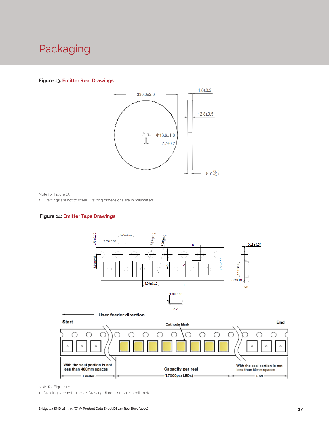### Packaging

#### **Figure 13: Emitter Reel Drawings**



Note for Figure 13:

1. Drawings are not to scale. Drawing dimensions are in millimeters.

#### **Figure 14: Emitter Tape Drawings**





Note for Figure 14:

1. Drawings are not to scale. Drawing dimensions are in millimeters.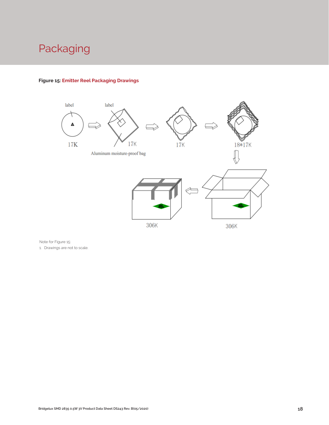# Packaging



#### **Figure 15: Emitter Reel Packaging Drawings**

Note for Figure 15:

1. Drawings are not to scale.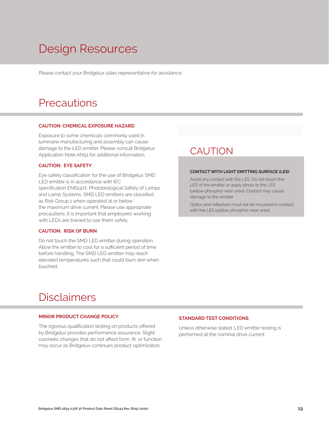# Design Resources

Please contact your Bridgelux sales representative for assistance.

### **Precautions**

#### **CAUTION: CHEMICAL EXPOSURE HAZARD**

Exposure to some chemicals commonly used in luminaire manufacturing and assembly can cause damage to the LED emitter. Please consult Bridgelux Application Note AN51 for additional information.

#### **CAUTION: EYE SAFETY**

Eye safety classification for the use of Bridgelux SMD LED emitter is in accordance with IEC specification EN62471: Photobiological Safety of Lamps and Lamp Systems. SMD LED emitters are classified as Risk Group 1 when operated at or below the maximum drive current. Please use appropriate precautions. It is important that employees working with LEDs are trained to use them safely.

#### **CAUTION: RISK OF BURN**

Do not touch the SMD LED emitter during operation. Allow the emitter to cool for a sufficient period of time before handling. The SMD LED emitter may reach elevated temperatures such that could burn skin when touched.

### **CAUTION**

#### **CONTACT WITH LIGHT EMITTING SURFACE (LES)**

Avoid any contact with the LES. Do not touch the LES of the emitter or apply stress to the LES (yellow phosphor resin area). Contact may cause damage to the emitter

Optics and reflectors must not be mounted in contact with the LES (yellow phosphor resin area).

### Disclaimers

#### **MINOR PRODUCT CHANGE POLICY**

The rigorous qualification testing on products offered by Bridgelux provides performance assurance. Slight cosmetic changes that do not affect form, fit, or function may occur as Bridgelux continues product optimization.

#### **STANDARD TEST CONDITIONS**

Unless otherwise stated, LED emitter testing is performed at the nominal drive current.